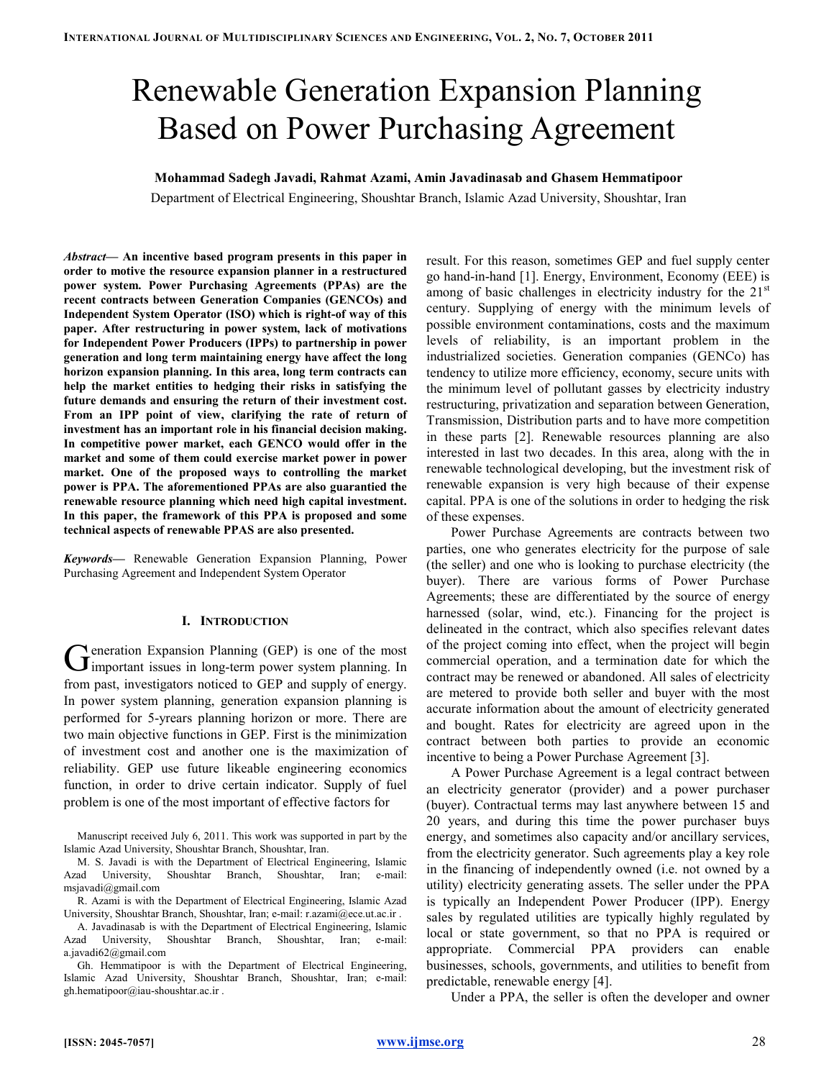# Renewable Generation Expansion Planning Based on Power Purchasing Agreement

Mohammad Sadegh Javadi, Rahmat Azami, Amin Javadinasab and Ghasem Hemmatipoor

Department of Electrical Engineering, Shoushtar Branch, Islamic Azad University, Shoushtar, Iran

Abstract— An incentive based program presents in this paper in order to motive the resource expansion planner in a restructured power system. Power Purchasing Agreements (PPAs) are the recent contracts between Generation Companies (GENCOs) and Independent System Operator (ISO) which is right-of way of this paper. After restructuring in power system, lack of motivations for Independent Power Producers (IPPs) to partnership in power generation and long term maintaining energy have affect the long horizon expansion planning. In this area, long term contracts can help the market entities to hedging their risks in satisfying the future demands and ensuring the return of their investment cost. From an IPP point of view, clarifying the rate of return of investment has an important role in his financial decision making. In competitive power market, each GENCO would offer in the market and some of them could exercise market power in power market. One of the proposed ways to controlling the market power is PPA. The aforementioned PPAs are also guarantied the renewable resource planning which need high capital investment. In this paper, the framework of this PPA is proposed and some technical aspects of renewable PPAS are also presented.

Keywords— Renewable Generation Expansion Planning, Power Purchasing Agreement and Independent System Operator

#### I. INTRODUCTION

eneration Expansion Planning (GEP) is one of the most Generation Expansion Planning (GEP) is one of the most important issues in long-term power system planning. In from past, investigators noticed to GEP and supply of energy. In power system planning, generation expansion planning is performed for 5-yrears planning horizon or more. There are two main objective functions in GEP. First is the minimization of investment cost and another one is the maximization of reliability. GEP use future likeable engineering economics function, in order to drive certain indicator. Supply of fuel problem is one of the most important of effective factors for

Manuscript received July 6, 2011. This work was supported in part by the Islamic Azad University, Shoushtar Branch, Shoushtar, Iran.

M. S. Javadi is with the Department of Electrical Engineering, Islamic Azad University, Shoushtar Branch, Shoushtar, Iran; e-mail: msjavadi@gmail.com

R. Azami is with the Department of Electrical Engineering, Islamic Azad University, Shoushtar Branch, Shoushtar, Iran; e-mail: r.azami@ece.ut.ac.ir .

A. Javadinasab is with the Department of Electrical Engineering, Islamic Azad University, Shoushtar Branch, Shoushtar, Iran; e-mail: a.javadi62@gmail.com

Gh. Hemmatipoor is with the Department of Electrical Engineering, Islamic Azad University, Shoushtar Branch, Shoushtar, Iran; e-mail: gh.hematipoor@iau-shoushtar.ac.ir .

result. For this reason, sometimes GEP and fuel supply center go hand-in-hand [1]. Energy, Environment, Economy (EEE) is among of basic challenges in electricity industry for the  $21<sup>st</sup>$ century. Supplying of energy with the minimum levels of possible environment contaminations, costs and the maximum levels of reliability, is an important problem in the industrialized societies. Generation companies (GENCo) has tendency to utilize more efficiency, economy, secure units with the minimum level of pollutant gasses by electricity industry restructuring, privatization and separation between Generation, Transmission, Distribution parts and to have more competition in these parts [2]. Renewable resources planning are also interested in last two decades. In this area, along with the in renewable technological developing, but the investment risk of renewable expansion is very high because of their expense capital. PPA is one of the solutions in order to hedging the risk of these expenses.

Power Purchase Agreements are contracts between two parties, one who generates electricity for the purpose of sale (the seller) and one who is looking to purchase electricity (the buyer). There are various forms of Power Purchase Agreements; these are differentiated by the source of energy harnessed (solar, wind, etc.). Financing for the project is delineated in the contract, which also specifies relevant dates of the project coming into effect, when the project will begin commercial operation, and a termination date for which the contract may be renewed or abandoned. All sales of electricity are metered to provide both seller and buyer with the most accurate information about the amount of electricity generated and bought. Rates for electricity are agreed upon in the contract between both parties to provide an economic incentive to being a Power Purchase Agreement [3].

A Power Purchase Agreement is a legal contract between an electricity generator (provider) and a power purchaser (buyer). Contractual terms may last anywhere between 15 and 20 years, and during this time the power purchaser buys energy, and sometimes also capacity and/or ancillary services, from the electricity generator. Such agreements play a key role in the financing of independently owned (i.e. not owned by a utility) electricity generating assets. The seller under the PPA is typically an Independent Power Producer (IPP). Energy sales by regulated utilities are typically highly regulated by local or state government, so that no PPA is required or appropriate. Commercial PPA providers can enable businesses, schools, governments, and utilities to benefit from predictable, renewable energy [4].

Under a PPA, the seller is often the developer and owner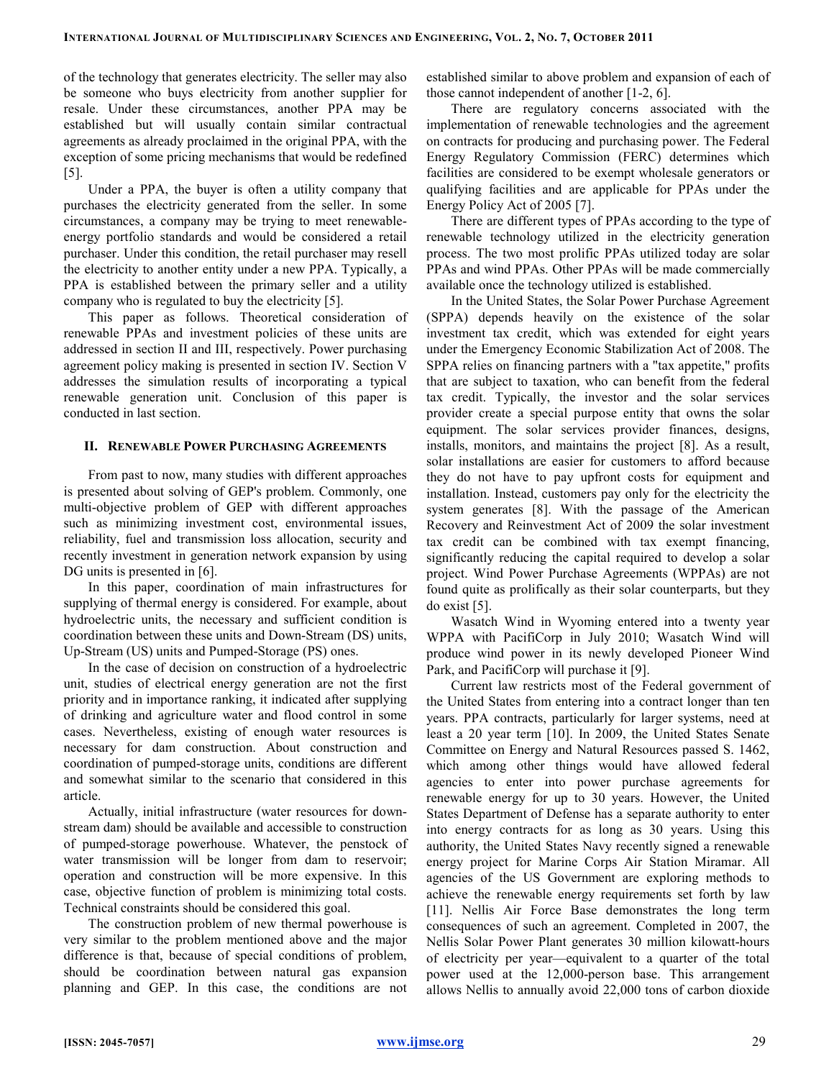of the technology that generates electricity. The seller may also be someone who buys electricity from another supplier for resale. Under these circumstances, another PPA may be established but will usually contain similar contractual agreements as already proclaimed in the original PPA, with the exception of some pricing mechanisms that would be redefined [5].

Under a PPA, the buyer is often a utility company that purchases the electricity generated from the seller. In some circumstances, a company may be trying to meet renewableenergy portfolio standards and would be considered a retail purchaser. Under this condition, the retail purchaser may resell the electricity to another entity under a new PPA. Typically, a PPA is established between the primary seller and a utility company who is regulated to buy the electricity [5].

This paper as follows. Theoretical consideration of renewable PPAs and investment policies of these units are addressed in section II and III, respectively. Power purchasing agreement policy making is presented in section IV. Section V addresses the simulation results of incorporating a typical renewable generation unit. Conclusion of this paper is conducted in last section.

## II. RENEWABLE POWER PURCHASING AGREEMENTS

From past to now, many studies with different approaches is presented about solving of GEP's problem. Commonly, one multi-objective problem of GEP with different approaches such as minimizing investment cost, environmental issues, reliability, fuel and transmission loss allocation, security and recently investment in generation network expansion by using DG units is presented in [6].

In this paper, coordination of main infrastructures for supplying of thermal energy is considered. For example, about hydroelectric units, the necessary and sufficient condition is coordination between these units and Down-Stream (DS) units, Up-Stream (US) units and Pumped-Storage (PS) ones.

In the case of decision on construction of a hydroelectric unit, studies of electrical energy generation are not the first priority and in importance ranking, it indicated after supplying of drinking and agriculture water and flood control in some cases. Nevertheless, existing of enough water resources is necessary for dam construction. About construction and coordination of pumped-storage units, conditions are different and somewhat similar to the scenario that considered in this article.

Actually, initial infrastructure (water resources for downstream dam) should be available and accessible to construction of pumped-storage powerhouse. Whatever, the penstock of water transmission will be longer from dam to reservoir; operation and construction will be more expensive. In this case, objective function of problem is minimizing total costs. Technical constraints should be considered this goal.

The construction problem of new thermal powerhouse is very similar to the problem mentioned above and the major difference is that, because of special conditions of problem, should be coordination between natural gas expansion planning and GEP. In this case, the conditions are not

established similar to above problem and expansion of each of those cannot independent of another [1-2, 6].

There are regulatory concerns associated with the implementation of renewable technologies and the agreement on contracts for producing and purchasing power. The Federal Energy Regulatory Commission (FERC) determines which facilities are considered to be exempt wholesale generators or qualifying facilities and are applicable for PPAs under the Energy Policy Act of 2005 [7].

There are different types of PPAs according to the type of renewable technology utilized in the electricity generation process. The two most prolific PPAs utilized today are solar PPAs and wind PPAs. Other PPAs will be made commercially available once the technology utilized is established.

In the United States, the Solar Power Purchase Agreement (SPPA) depends heavily on the existence of the solar investment tax credit, which was extended for eight years under the Emergency Economic Stabilization Act of 2008. The SPPA relies on financing partners with a "tax appetite," profits that are subject to taxation, who can benefit from the federal tax credit. Typically, the investor and the solar services provider create a special purpose entity that owns the solar equipment. The solar services provider finances, designs, installs, monitors, and maintains the project [8]. As a result, solar installations are easier for customers to afford because they do not have to pay upfront costs for equipment and installation. Instead, customers pay only for the electricity the system generates [8]. With the passage of the American Recovery and Reinvestment Act of 2009 the solar investment tax credit can be combined with tax exempt financing, significantly reducing the capital required to develop a solar project. Wind Power Purchase Agreements (WPPAs) are not found quite as prolifically as their solar counterparts, but they do exist [5].

Wasatch Wind in Wyoming entered into a twenty year WPPA with PacifiCorp in July 2010; Wasatch Wind will produce wind power in its newly developed Pioneer Wind Park, and PacifiCorp will purchase it [9].

Current law restricts most of the Federal government of the United States from entering into a contract longer than ten years. PPA contracts, particularly for larger systems, need at least a 20 year term [10]. In 2009, the United States Senate Committee on Energy and Natural Resources passed S. 1462, which among other things would have allowed federal agencies to enter into power purchase agreements for renewable energy for up to 30 years. However, the United States Department of Defense has a separate authority to enter into energy contracts for as long as 30 years. Using this authority, the United States Navy recently signed a renewable energy project for Marine Corps Air Station Miramar. All agencies of the US Government are exploring methods to achieve the renewable energy requirements set forth by law [11]. Nellis Air Force Base demonstrates the long term consequences of such an agreement. Completed in 2007, the Nellis Solar Power Plant generates 30 million kilowatt-hours of electricity per year—equivalent to a quarter of the total power used at the 12,000-person base. This arrangement allows Nellis to annually avoid 22,000 tons of carbon dioxide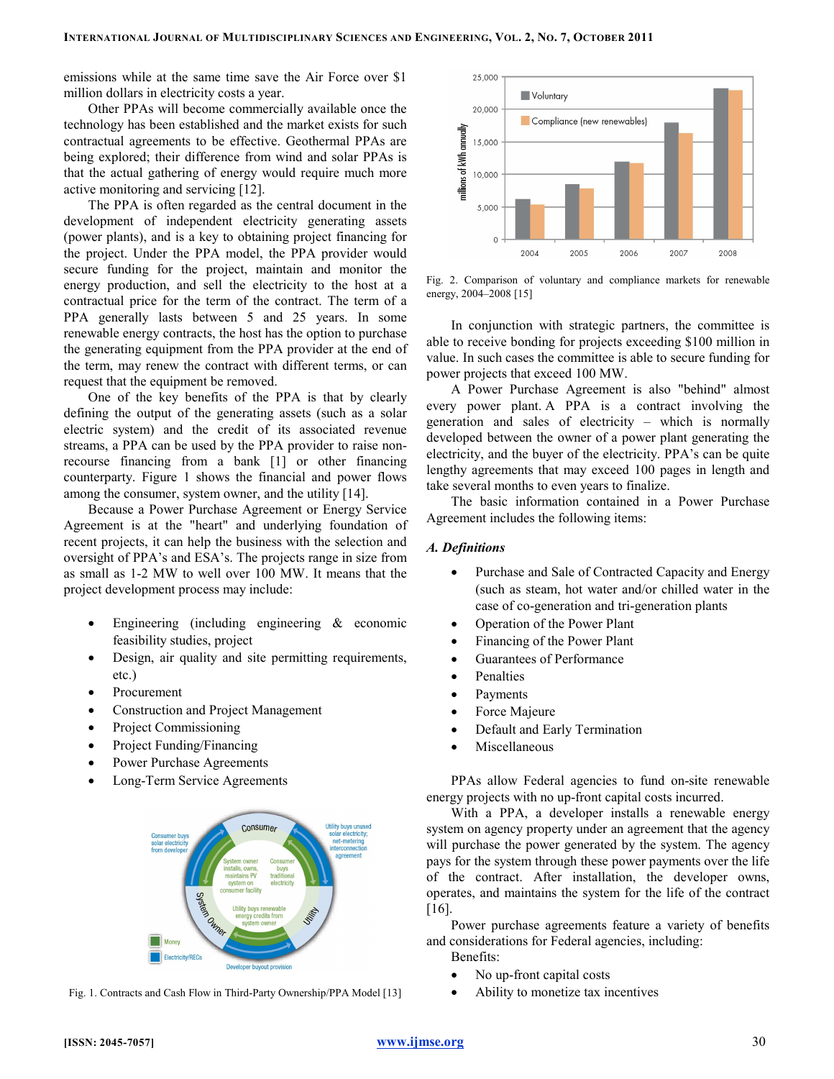emissions while at the same time save the Air Force over \$1 million dollars in electricity costs a year.

Other PPAs will become commercially available once the technology has been established and the market exists for such contractual agreements to be effective. Geothermal PPAs are being explored; their difference from wind and solar PPAs is that the actual gathering of energy would require much more active monitoring and servicing [12].

The PPA is often regarded as the central document in the development of independent electricity generating assets (power plants), and is a key to obtaining project financing for the project. Under the PPA model, the PPA provider would secure funding for the project, maintain and monitor the energy production, and sell the electricity to the host at a contractual price for the term of the contract. The term of a PPA generally lasts between 5 and 25 years. In some renewable energy contracts, the host has the option to purchase the generating equipment from the PPA provider at the end of the term, may renew the contract with different terms, or can request that the equipment be removed.

One of the key benefits of the PPA is that by clearly defining the output of the generating assets (such as a solar electric system) and the credit of its associated revenue streams, a PPA can be used by the PPA provider to raise nonrecourse financing from a bank [1] or other financing counterparty. Figure 1 shows the financial and power flows among the consumer, system owner, and the utility [14].

Because a Power Purchase Agreement or Energy Service Agreement is at the "heart" and underlying foundation of recent projects, it can help the business with the selection and oversight of PPA's and ESA's. The projects range in size from as small as 1-2 MW to well over 100 MW. It means that the project development process may include:

- Engineering (including engineering  $\&$  economic feasibility studies, project
- Design, air quality and site permitting requirements, etc.)
- Procurement
- Construction and Project Management
- Project Commissioning
- Project Funding/Financing
- Power Purchase Agreements
- Long-Term Service Agreements



Fig. 1. Contracts and Cash Flow in Third-Party Ownership/PPA Model [13]



Fig. 2. Comparison of voluntary and compliance markets for renewable energy, 2004–2008 [15]

In conjunction with strategic partners, the committee is able to receive bonding for projects exceeding \$100 million in value. In such cases the committee is able to secure funding for power projects that exceed 100 MW.

A Power Purchase Agreement is also "behind" almost every power plant. A PPA is a contract involving the generation and sales of electricity – which is normally developed between the owner of a power plant generating the electricity, and the buyer of the electricity. PPA's can be quite lengthy agreements that may exceed 100 pages in length and take several months to even years to finalize.

The basic information contained in a Power Purchase Agreement includes the following items:

## A. Definitions

- Purchase and Sale of Contracted Capacity and Energy (such as steam, hot water and/or chilled water in the case of co-generation and tri-generation plants
- Operation of the Power Plant
- Financing of the Power Plant
- Guarantees of Performance
- **Penalties**
- **Payments**
- Force Majeure
- Default and Early Termination
- **Miscellaneous**

PPAs allow Federal agencies to fund on-site renewable energy projects with no up-front capital costs incurred.

With a PPA, a developer installs a renewable energy system on agency property under an agreement that the agency will purchase the power generated by the system. The agency pays for the system through these power payments over the life of the contract. After installation, the developer owns, operates, and maintains the system for the life of the contract [16].

Power purchase agreements feature a variety of benefits and considerations for Federal agencies, including: Benefits:

- No up-front capital costs
- Ability to monetize tax incentives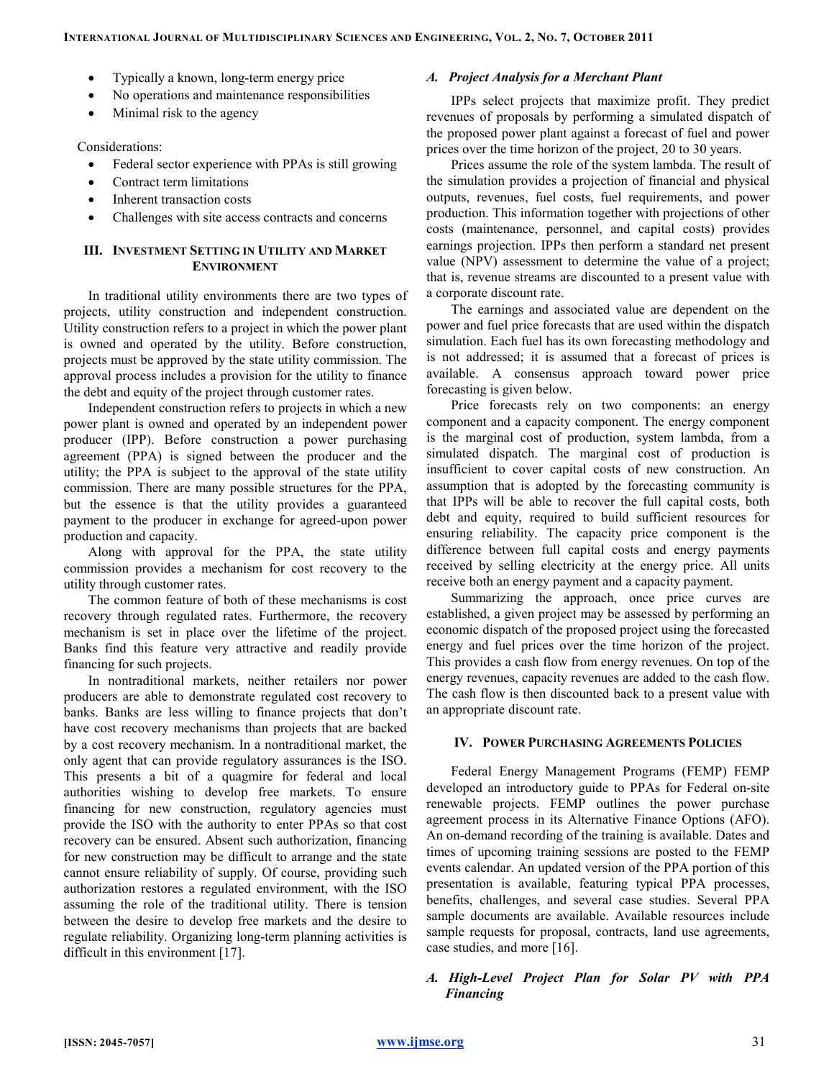- Typically a known, long-term energy price
- No operations and maintenance responsibilities
- Minimal risk to the agency

Considerations:

- Federal sector experience with PPAs is still growing
- Contract term limitations
- Inherent transaction costs
- Challenges with site access contracts and concerns

# III. INVESTMENT SETTING IN UTILITY AND MARKET ENVIRONMENT

In traditional utility environments there are two types of projects, utility construction and independent construction. Utility construction refers to a project in which the power plant is owned and operated by the utility. Before construction, projects must be approved by the state utility commission. The approval process includes a provision for the utility to finance the debt and equity of the project through customer rates.

Independent construction refers to projects in which a new power plant is owned and operated by an independent power producer (IPP). Before construction a power purchasing agreement (PPA) is signed between the producer and the utility; the PPA is subject to the approval of the state utility commission. There are many possible structures for the PPA, but the essence is that the utility provides a guaranteed payment to the producer in exchange for agreed-upon power production and capacity.

Along with approval for the PPA, the state utility commission provides a mechanism for cost recovery to the utility through customer rates.

The common feature of both of these mechanisms is cost recovery through regulated rates. Furthermore, the recovery mechanism is set in place over the lifetime of the project. Banks find this feature very attractive and readily provide financing for such projects.

In nontraditional markets, neither retailers nor power producers are able to demonstrate regulated cost recovery to banks. Banks are less willing to finance projects that don't have cost recovery mechanisms than projects that are backed by a cost recovery mechanism. In a nontraditional market, the only agent that can provide regulatory assurances is the ISO. This presents a bit of a quagmire for federal and local authorities wishing to develop free markets. To ensure financing for new construction, regulatory agencies must provide the ISO with the authority to enter PPAs so that cost recovery can be ensured. Absent such authorization, financing for new construction may be difficult to arrange and the state cannot ensure reliability of supply. Of course, providing such authorization restores a regulated environment, with the ISO assuming the role of the traditional utility. There is tension between the desire to develop free markets and the desire to regulate reliability. Organizing long-term planning activities is difficult in this environment [17].

## A. Project Analysis for a Merchant Plant

IPPs select projects that maximize profit. They predict revenues of proposals by performing a simulated dispatch of the proposed power plant against a forecast of fuel and power prices over the time horizon of the project, 20 to 30 years.

Prices assume the role of the system lambda. The result of the simulation provides a projection of financial and physical outputs, revenues, fuel costs, fuel requirements, and power production. This information together with projections of other costs (maintenance, personnel, and capital costs) provides earnings projection. IPPs then perform a standard net present value (NPV) assessment to determine the value of a project; that is, revenue streams are discounted to a present value with a corporate discount rate.

The earnings and associated value are dependent on the power and fuel price forecasts that are used within the dispatch simulation. Each fuel has its own forecasting methodology and is not addressed; it is assumed that a forecast of prices is available. A consensus approach toward power price forecasting is given below.

Price forecasts rely on two components: an energy component and a capacity component. The energy component is the marginal cost of production, system lambda, from a simulated dispatch. The marginal cost of production is insufficient to cover capital costs of new construction. An assumption that is adopted by the forecasting community is that IPPs will be able to recover the full capital costs, both debt and equity, required to build sufficient resources for ensuring reliability. The capacity price component is the difference between full capital costs and energy payments received by selling electricity at the energy price. All units receive both an energy payment and a capacity payment.

Summarizing the approach, once price curves are established, a given project may be assessed by performing an economic dispatch of the proposed project using the forecasted energy and fuel prices over the time horizon of the project. This provides a cash flow from energy revenues. On top of the energy revenues, capacity revenues are added to the cash flow. The cash flow is then discounted back to a present value with an appropriate discount rate.

# IV. POWER PURCHASING AGREEMENTS POLICIES

Federal Energy Management Programs (FEMP) FEMP developed an introductory guide to PPAs for Federal on-site renewable projects. FEMP outlines the power purchase agreement process in its Alternative Finance Options (AFO). An on-demand recording of the training is available. Dates and times of upcoming training sessions are posted to the FEMP events calendar. An updated version of the PPA portion of this presentation is available, featuring typical PPA processes, benefits, challenges, and several case studies. Several PPA sample documents are available. Available resources include sample requests for proposal, contracts, land use agreements, case studies, and more [16].

# A. High-Level Project Plan for Solar PV with PPA Financing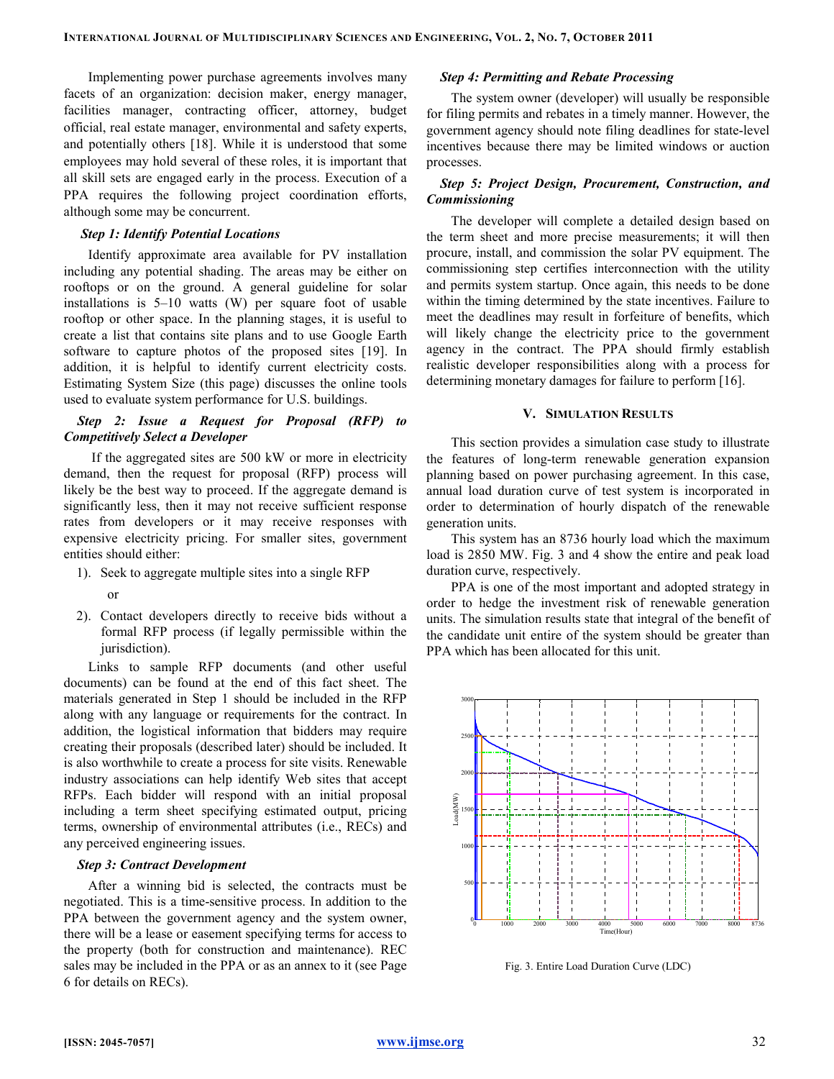Implementing power purchase agreements involves many facets of an organization: decision maker, energy manager, facilities manager, contracting officer, attorney, budget official, real estate manager, environmental and safety experts, and potentially others [18]. While it is understood that some employees may hold several of these roles, it is important that all skill sets are engaged early in the process. Execution of a PPA requires the following project coordination efforts, although some may be concurrent.

### Step 1: Identify Potential Locations

Identify approximate area available for PV installation including any potential shading. The areas may be either on rooftops or on the ground. A general guideline for solar installations is 5–10 watts (W) per square foot of usable rooftop or other space. In the planning stages, it is useful to create a list that contains site plans and to use Google Earth software to capture photos of the proposed sites [19]. In addition, it is helpful to identify current electricity costs. Estimating System Size (this page) discusses the online tools used to evaluate system performance for U.S. buildings.

## Step 2: Issue a Request for Proposal (RFP) to Competitively Select a Developer

 If the aggregated sites are 500 kW or more in electricity demand, then the request for proposal (RFP) process will likely be the best way to proceed. If the aggregate demand is significantly less, then it may not receive sufficient response rates from developers or it may receive responses with expensive electricity pricing. For smaller sites, government entities should either:

- 1). Seek to aggregate multiple sites into a single RFP
	- or
- 2). Contact developers directly to receive bids without a formal RFP process (if legally permissible within the jurisdiction).

Links to sample RFP documents (and other useful documents) can be found at the end of this fact sheet. The materials generated in Step 1 should be included in the RFP along with any language or requirements for the contract. In addition, the logistical information that bidders may require creating their proposals (described later) should be included. It is also worthwhile to create a process for site visits. Renewable industry associations can help identify Web sites that accept RFPs. Each bidder will respond with an initial proposal including a term sheet specifying estimated output, pricing terms, ownership of environmental attributes (i.e., RECs) and any perceived engineering issues.

#### Step 3: Contract Development

After a winning bid is selected, the contracts must be negotiated. This is a time-sensitive process. In addition to the PPA between the government agency and the system owner, there will be a lease or easement specifying terms for access to the property (both for construction and maintenance). REC sales may be included in the PPA or as an annex to it (see Page 6 for details on RECs).

## Step 4: Permitting and Rebate Processing

The system owner (developer) will usually be responsible for filing permits and rebates in a timely manner. However, the government agency should note filing deadlines for state-level incentives because there may be limited windows or auction processes.

# Step 5: Project Design, Procurement, Construction, and Commissioning

The developer will complete a detailed design based on the term sheet and more precise measurements; it will then procure, install, and commission the solar PV equipment. The commissioning step certifies interconnection with the utility and permits system startup. Once again, this needs to be done within the timing determined by the state incentives. Failure to meet the deadlines may result in forfeiture of benefits, which will likely change the electricity price to the government agency in the contract. The PPA should firmly establish realistic developer responsibilities along with a process for determining monetary damages for failure to perform [16].

#### V. SIMULATION RESULTS

This section provides a simulation case study to illustrate the features of long-term renewable generation expansion planning based on power purchasing agreement. In this case, annual load duration curve of test system is incorporated in order to determination of hourly dispatch of the renewable generation units.

This system has an 8736 hourly load which the maximum load is 2850 MW. Fig. 3 and 4 show the entire and peak load duration curve, respectively.

PPA is one of the most important and adopted strategy in order to hedge the investment risk of renewable generation units. The simulation results state that integral of the benefit of the candidate unit entire of the system should be greater than PPA which has been allocated for this unit.



Fig. 3. Entire Load Duration Curve (LDC)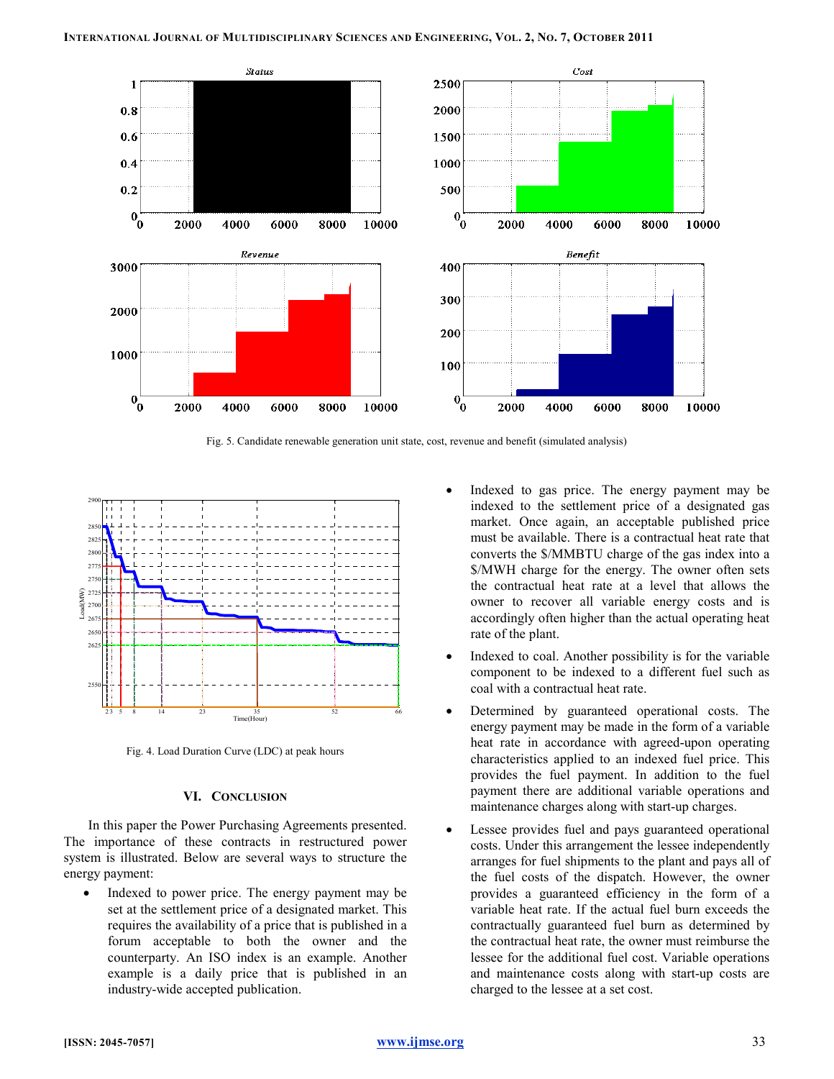

Fig. 5. Candidate renewable generation unit state, cost, revenue and benefit (simulated analysis)



Fig. 4. Load Duration Curve (LDC) at peak hours

## VI. CONCLUSION

In this paper the Power Purchasing Agreements presented. The importance of these contracts in restructured power system is illustrated. Below are several ways to structure the energy payment:

• Indexed to power price. The energy payment may be set at the settlement price of a designated market. This requires the availability of a price that is published in a forum acceptable to both the owner and the counterparty. An ISO index is an example. Another example is a daily price that is published in an industry-wide accepted publication.

- Indexed to gas price. The energy payment may be indexed to the settlement price of a designated gas market. Once again, an acceptable published price must be available. There is a contractual heat rate that converts the \$/MMBTU charge of the gas index into a \$/MWH charge for the energy. The owner often sets the contractual heat rate at a level that allows the owner to recover all variable energy costs and is accordingly often higher than the actual operating heat rate of the plant.
- Indexed to coal. Another possibility is for the variable component to be indexed to a different fuel such as coal with a contractual heat rate.
- Determined by guaranteed operational costs. The energy payment may be made in the form of a variable heat rate in accordance with agreed-upon operating characteristics applied to an indexed fuel price. This provides the fuel payment. In addition to the fuel payment there are additional variable operations and maintenance charges along with start-up charges.
- Lessee provides fuel and pays guaranteed operational costs. Under this arrangement the lessee independently arranges for fuel shipments to the plant and pays all of the fuel costs of the dispatch. However, the owner provides a guaranteed efficiency in the form of a variable heat rate. If the actual fuel burn exceeds the contractually guaranteed fuel burn as determined by the contractual heat rate, the owner must reimburse the lessee for the additional fuel cost. Variable operations and maintenance costs along with start-up costs are charged to the lessee at a set cost.